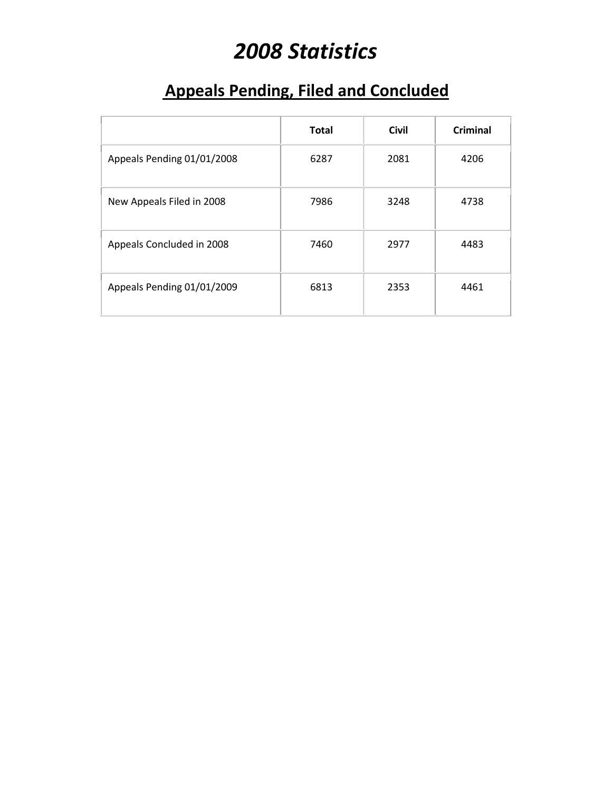# *2008 Statistics*

### **Appeals Pending, Filed and Concluded**

|                            | <b>Total</b> | <b>Civil</b> | <b>Criminal</b> |
|----------------------------|--------------|--------------|-----------------|
| Appeals Pending 01/01/2008 | 6287         | 2081         | 4206            |
| New Appeals Filed in 2008  | 7986         | 3248         | 4738            |
| Appeals Concluded in 2008  | 7460         | 2977         | 4483            |
| Appeals Pending 01/01/2009 | 6813         | 2353         | 4461            |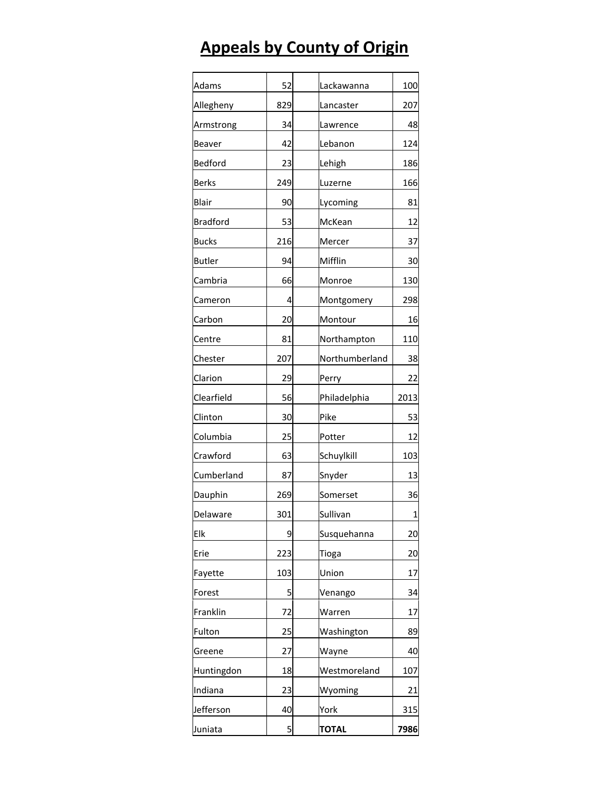## **Appeals by County of Origin**

| Adams           | 52  | Lackawanna     | 100  |
|-----------------|-----|----------------|------|
| Allegheny       | 829 | Lancaster      | 207  |
| Armstrong       | 34  | Lawrence       | 48   |
| Beaver          | 42  | Lebanon        | 124  |
| Bedford         | 23  | Lehigh         | 186  |
| <b>Berks</b>    | 249 | Luzerne        | 166  |
| Blair           | 90  | Lycoming       | 81   |
| <b>Bradford</b> | 53  | McKean         | 12   |
| <b>Bucks</b>    | 216 | Mercer         | 37   |
| <b>Butler</b>   | 94  | Mifflin        | 30   |
| Cambria         | 66  | Monroe         | 130  |
| Cameron         | 4   | Montgomery     | 298  |
| Carbon          | 20  | Montour        | 16   |
| Centre          | 81  | Northampton    | 110  |
| Chester         | 207 | Northumberland | 38   |
| Clarion         | 29  | Perry          | 22   |
| Clearfield      | 56  | Philadelphia   | 2013 |
| Clinton         | 30  | Pike           | 53   |
| Columbia        | 25  | Potter         | 12   |
| Crawford        | 63  | Schuylkill     | 103  |
| Cumberland      | 87  | Snyder         | 13   |
| Dauphin         | 269 | Somerset       | 36   |
| Delaware        | 301 | Sullivan       | 1    |
| Elk             | 9   | Susquehanna    | 20   |
| Erie            | 223 | Tioga          | 20   |
| Fayette         | 103 | Union          | 17   |
| Forest          | 5   | Venango        | 34   |
| Franklin        | 72  | Warren         | 17   |
| Fulton          | 25  | Washington     | 89   |
| Greene          | 27  | Wayne          | 40   |
| Huntingdon      | 18  | Westmoreland   | 107  |
| Indiana         | 23  | Wyoming        | 21   |
| Jefferson       | 40  | York           | 315  |
| Juniata         | 5   | <b>TOTAL</b>   | 7986 |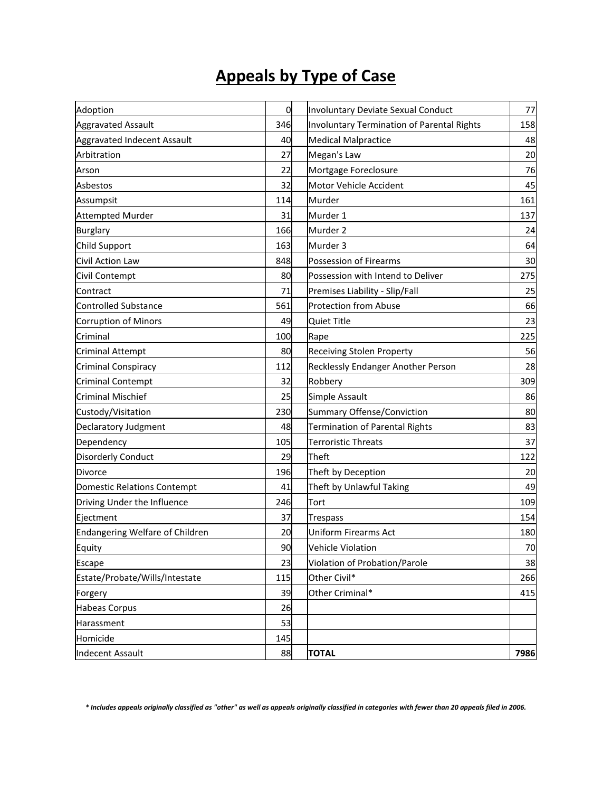### **Appeals by Type of Case**

| Adoption                           | $\overline{0}$ | Involuntary Deviate Sexual Conduct         | 77   |
|------------------------------------|----------------|--------------------------------------------|------|
| <b>Aggravated Assault</b>          | 346            | Involuntary Termination of Parental Rights | 158  |
| <b>Aggravated Indecent Assault</b> | 40             | <b>Medical Malpractice</b>                 | 48   |
| Arbitration                        | 27             | Megan's Law                                | 20   |
| Arson                              | 22             | Mortgage Foreclosure                       | 76   |
| Asbestos                           | 32             | Motor Vehicle Accident                     | 45   |
| Assumpsit                          | 114            | Murder                                     | 161  |
| <b>Attempted Murder</b>            | 31             | Murder 1                                   | 137  |
| <b>Burglary</b>                    | 166            | Murder 2                                   | 24   |
| Child Support                      | 163            | Murder 3                                   | 64   |
| Civil Action Law                   | 848            | Possession of Firearms                     | 30   |
| Civil Contempt                     | 80             | Possession with Intend to Deliver          | 275  |
| Contract                           | 71             | Premises Liability - Slip/Fall             | 25   |
| Controlled Substance               | 561            | <b>Protection from Abuse</b>               | 66   |
| <b>Corruption of Minors</b>        | 49             | <b>Quiet Title</b>                         | 23   |
| Criminal                           | 100            | Rape                                       | 225  |
| <b>Criminal Attempt</b>            | 80             | Receiving Stolen Property                  | 56   |
| Criminal Conspiracy                | 112            | Recklessly Endanger Another Person         | 28   |
| <b>Criminal Contempt</b>           | 32             | Robbery                                    | 309  |
| <b>Criminal Mischief</b>           | 25             | Simple Assault                             | 86   |
| Custody/Visitation                 | 230            | <b>Summary Offense/Conviction</b>          | 80   |
| Declaratory Judgment               | 48             | <b>Termination of Parental Rights</b>      | 83   |
| Dependency                         | 105            | <b>Terroristic Threats</b>                 | 37   |
| <b>Disorderly Conduct</b>          | 29             | Theft                                      | 122  |
| <b>Divorce</b>                     | 196            | Theft by Deception                         | 20   |
| <b>Domestic Relations Contempt</b> | 41             | Theft by Unlawful Taking                   | 49   |
| Driving Under the Influence        | 246            | Tort                                       | 109  |
| Ejectment                          | 37             | <b>Trespass</b>                            | 154  |
| Endangering Welfare of Children    | 20             | <b>Uniform Firearms Act</b>                | 180  |
| Equity                             | 90             | Vehicle Violation                          | $70$ |
| Escape                             | 23             | Violation of Probation/Parole              | 38   |
| Estate/Probate/Wills/Intestate     | 115            | Other Civil*                               | 266  |
| Forgery                            | 39             | Other Criminal*                            | 415  |
| Habeas Corpus                      | 26             |                                            |      |
| Harassment                         | 53             |                                            |      |
| Homicide                           | 145            |                                            |      |
| <b>Indecent Assault</b>            | 88             | <b>TOTAL</b>                               | 7986 |

*\* Includes appeals originally classified as "other" as well as appeals originally classified in categories with fewer than 20 appeals filed in 2006.*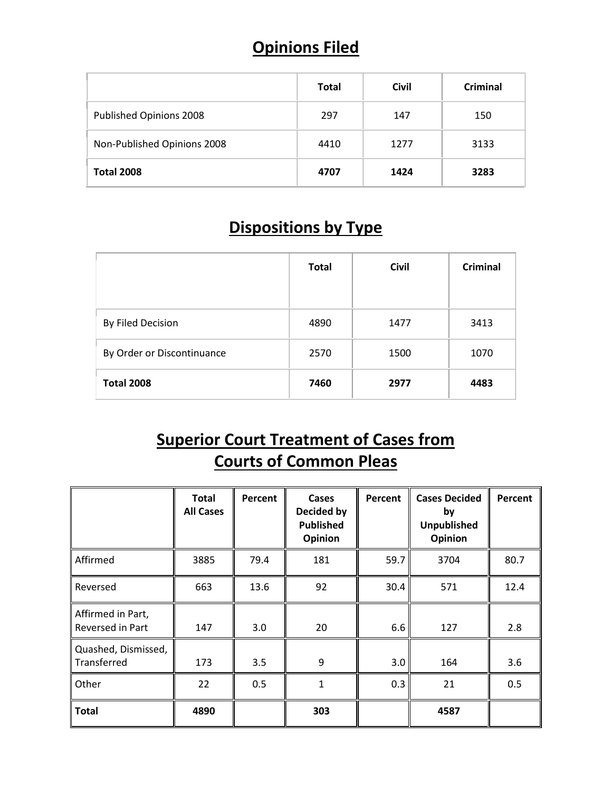#### **Opinions Filed**

|                             | <b>Total</b> | <b>Civil</b> | Criminal |
|-----------------------------|--------------|--------------|----------|
| Published Opinions 2008     | 297          | 147          | 150      |
| Non-Published Opinions 2008 | 4410         | 1277         | 3133     |
| <b>Total 2008</b>           | 4707         | 1424         | 3283     |

#### **Dispositions by Type**

|                            | <b>Total</b> | <b>Civil</b> | Criminal |
|----------------------------|--------------|--------------|----------|
| By Filed Decision          | 4890         | 1477         | 3413     |
| By Order or Discontinuance | 2570         | 1500         | 1070     |
| <b>Total 2008</b>          | 7460         | 2977         | 4483     |

#### **Superior Court Treatment of Cases from Courts of Common Pleas**

|                                       | <b>Total</b><br><b>All Cases</b> | Percent | Cases<br><b>Decided by</b><br><b>Published</b><br>Opinion | Percent | <b>Cases Decided</b><br>by<br><b>Unpublished</b><br>Opinion | Percent |
|---------------------------------------|----------------------------------|---------|-----------------------------------------------------------|---------|-------------------------------------------------------------|---------|
| Affirmed                              | 3885                             | 79.4    | 181                                                       | 59.7    | 3704                                                        | 80.7    |
| Reversed                              | 663                              | 13.6    | 92                                                        | 30.4    | 571                                                         | 12.4    |
| Affirmed in Part,<br>Reversed in Part | 147                              | 3.0     | 20                                                        | 6.6     | 127                                                         | 2.8     |
| Quashed, Dismissed,<br>Transferred    | 173                              | 3.5     | 9                                                         | 3.0     | 164                                                         | 3.6     |
| Other                                 | 22                               | 0.5     | 1                                                         | 0.3     | 21                                                          | 0.5     |
| <b>Total</b>                          | 4890                             |         | 303                                                       |         | 4587                                                        |         |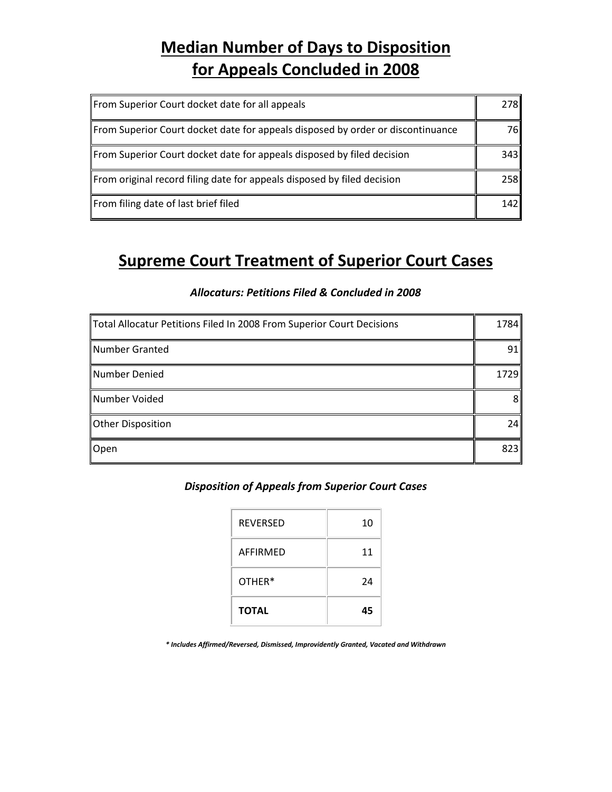#### **Median Number of Days to Disposition for Appeals Concluded in 2008**

| From Superior Court docket date for all appeals                                 | 278I |
|---------------------------------------------------------------------------------|------|
| From Superior Court docket date for appeals disposed by order or discontinuance | 76I  |
| From Superior Court docket date for appeals disposed by filed decision          | 343  |
| From original record filing date for appeals disposed by filed decision         | 258  |
| From filing date of last brief filed                                            | 142  |

#### **Supreme Court Treatment of Superior Court Cases**

#### *Allocaturs: Petitions Filed & Concluded in 2008*

| Total Allocatur Petitions Filed In 2008 From Superior Court Decisions | 1784           |
|-----------------------------------------------------------------------|----------------|
| Number Granted                                                        | 91             |
| Number Denied                                                         | 1729           |
| Number Voided                                                         | 8 <sup>1</sup> |
| <b>Other Disposition</b>                                              | 24             |
| Open                                                                  | 823            |

#### *Disposition of Appeals from Superior Court Cases*

| <b>REVERSED</b> | 10 |
|-----------------|----|
| AFFIRMFD        | 11 |
| OTHER*          | 24 |
| <b>TOTAL</b>    | 45 |

*\* Includes Affirmed/Reversed, Dismissed, Improvidently Granted, Vacated and Withdrawn*